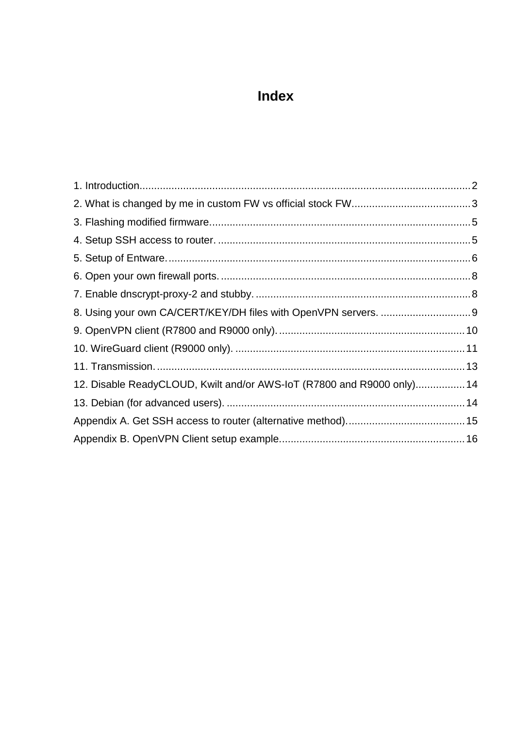# Index

| 12. Disable ReadyCLOUD, Kwilt and/or AWS-IoT (R7800 and R9000 only) 14 |  |
|------------------------------------------------------------------------|--|
|                                                                        |  |
|                                                                        |  |
|                                                                        |  |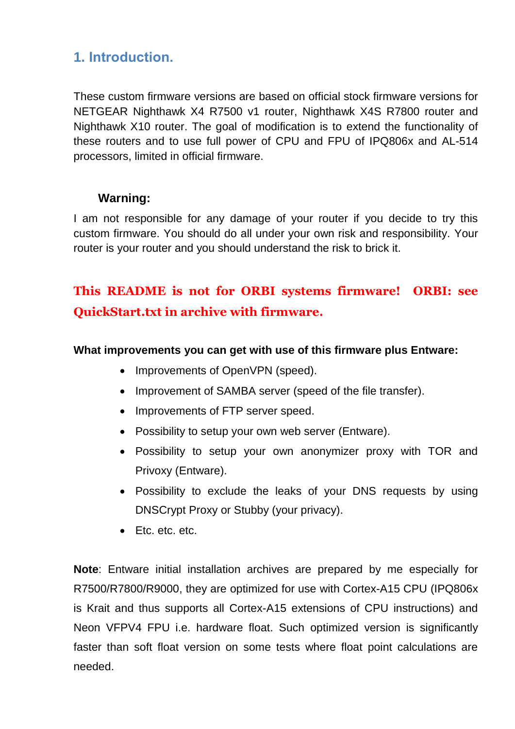## <span id="page-1-0"></span>**1. Introduction.**

These custom firmware versions are based on official stock firmware versions for NETGEAR Nighthawk X4 R7500 v1 router, Nighthawk X4S R7800 router and Nighthawk X10 router. The goal of modification is to extend the functionality of these routers and to use full power of CPU and FPU of IPQ806x and AL-514 processors, limited in official firmware.

### **Warning:**

I am not responsible for any damage of your router if you decide to try this custom firmware. You should do all under your own risk and responsibility. Your router is your router and you should understand the risk to brick it.

# **This README is not for ORBI systems firmware! ORBI: see QuickStart.txt in archive with firmware.**

### **What improvements you can get with use of this firmware plus Entware:**

- Improvements of OpenVPN (speed).
- Improvement of SAMBA server (speed of the file transfer).
- Improvements of FTP server speed.
- Possibility to setup your own web server (Entware).
- Possibility to setup your own anonymizer proxy with TOR and Privoxy (Entware).
- Possibility to exclude the leaks of your DNS requests by using DNSCrypt Proxy or Stubby (your privacy).
- Etc. etc. etc.

**Note**: Entware initial installation archives are prepared by me especially for R7500/R7800/R9000, they are optimized for use with Cortex-A15 CPU (IPQ806x is Krait and thus supports all Cortex-A15 extensions of CPU instructions) and Neon VFPV4 FPU i.e. hardware float. Such optimized version is significantly faster than soft float version on some tests where float point calculations are needed.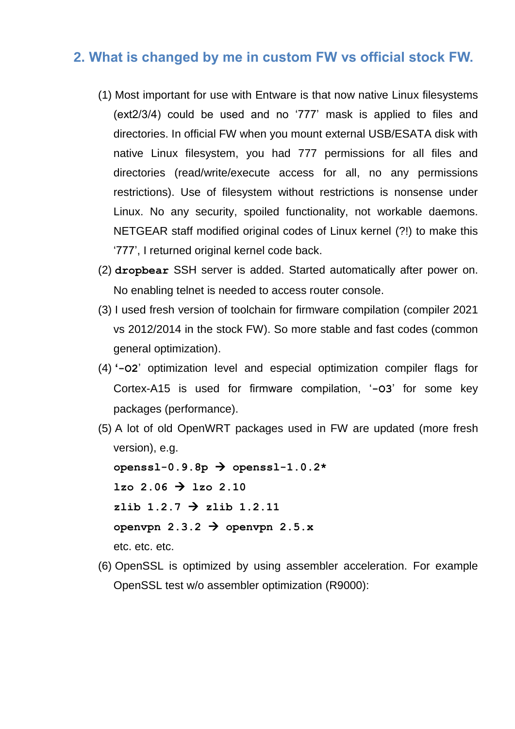### <span id="page-2-0"></span>**2. What is changed by me in custom FW vs official stock FW.**

- (1) Most important for use with Entware is that now native Linux filesystems (ext2/3/4) could be used and no '777' mask is applied to files and directories. In official FW when you mount external USB/ESATA disk with native Linux filesystem, you had 777 permissions for all files and directories (read/write/execute access for all, no any permissions restrictions). Use of filesystem without restrictions is nonsense under Linux. No any security, spoiled functionality, not workable daemons. NETGEAR staff modified original codes of Linux kernel (?!) to make this '777', I returned original kernel code back.
- (2) **dropbear** SSH server is added. Started automatically after power on. No enabling telnet is needed to access router console.
- (3) I used fresh version of toolchain for firmware compilation (compiler 2021 vs 2012/2014 in the stock FW). So more stable and fast codes (common general optimization).
- (4) **'-O2**' optimization level and especial optimization compiler flags for Cortex-A15 is used for firmware compilation, '**-O3**' for some key packages (performance).
- (5) A lot of old OpenWRT packages used in FW are updated (more fresh version), e.g. **openssl-0.9.8p openssl-1.0.2\***  $1z0 \t2.06 \t3 \t1z0 \t2.10$  $z$ lib 1.2.7  $\rightarrow$  zlib 1.2.11 openvpn  $2.3.2 \rightarrow$  openvpn  $2.5.x$ etc. etc. etc.
- (6) OpenSSL is optimized by using assembler acceleration. For example OpenSSL test w/o assembler optimization (R9000):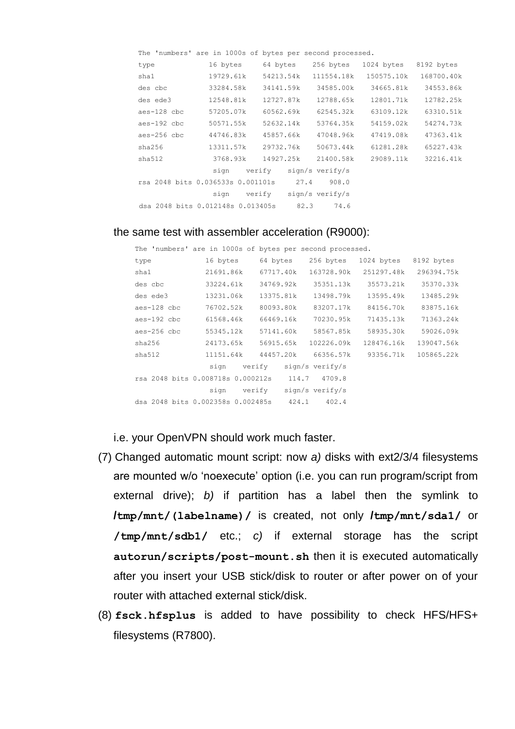|             | The 'numbers' are in 1000s of bytes per second processed. |                             |            |            |            |
|-------------|-----------------------------------------------------------|-----------------------------|------------|------------|------------|
| type        | 16 bytes 64 bytes                                         |                             | 256 bytes  | 1024 bytes | 8192 bytes |
| sha1        | 19729.61k 54213.54k                                       |                             | 111554.18k | 150575.10k | 168700.40k |
| des cbc     | 33284.58k                                                 | 34141.59k                   | 34585.00k  | 34665.81k  | 34553.86k  |
| des ede3    | 12548.81k                                                 | 12727.87k                   | 12788.65k  | 12801.71k  | 12782.25k  |
| aes-128 cbc | 57205.07k                                                 | 60562.69k                   | 62545.32k  | 63109.12k  | 63310.51k  |
| aes-192 cbc | 50571.55k                                                 | 52632.14k                   | 53764.35k  | 54159.02k  | 54274.73k  |
| aes-256 cbc | 44746.83k                                                 | 45857.66k                   | 47048.96k  | 47419.08k  | 47363.41k  |
| sha256      | 13311.57k                                                 | 29732.76k                   | 50673.44k  | 61281.28k  | 65227.43k  |
| sha512      | 3768.93k                                                  | 14927.25k                   | 21400.58k  | 29089.11k  | 32216.41k  |
|             |                                                           | sign verify sign/s_verify/s |            |            |            |
|             | rsa 2048 bits 0.036533s 0.001101s 27.4                    |                             | 908.0      |            |            |
|             | sign verify sign/s verify/s                               |                             |            |            |            |
|             | dsa 2048 bits 0.012148s 0.013405s 82.3                    |                             | 74.6       |            |            |

#### the same test with assembler acceleration (R9000):

|             | The 'numbers' are in 1000s of bytes per second processed. |                             |                             |                                                    |            |
|-------------|-----------------------------------------------------------|-----------------------------|-----------------------------|----------------------------------------------------|------------|
| type        |                                                           |                             | 16 bytes 64 bytes 256 bytes | 1024 bytes 8192 bytes                              |            |
| sha1        | 21691.86k                                                 | 67717.40k                   | 163728.90k                  | 251297.48k                                         | 296394.75k |
| des cbc     | 33224.61k                                                 | 34769.92k                   | 35351.13k                   | 35573.21k                                          | 35370.33k  |
| des ede3    | 13231.06k                                                 |                             | 13375.81k 13498.79k         | 13595.49k                                          | 13485.29k  |
| aes-128 cbc | 76702.52k                                                 |                             | 80093.80k 83207.17k         | 84156.70k                                          | 83875.16k  |
| aes-192 cbc | 61568.46k                                                 | 66469.16k                   | 70230.95k                   | 71435.13k                                          | 71363.24k  |
| aes-256 cbc | 55345.12k                                                 |                             | 57141.60k 58567.85k         | 58935.30k                                          | 59026.09k  |
| sha256      | 24173.65k 56915.65k                                       |                             | 102226.09k                  | 128476.16k 139047.56k                              |            |
| sha512      |                                                           |                             |                             | 11151.64k 44457.20k 66356.57k 93356.71k 105865.22k |            |
|             |                                                           |                             | sign verify sign/s verify/s |                                                    |            |
|             | rsa 2048 bits 0.008718s 0.000212s 114.7 4709.8            |                             |                             |                                                    |            |
|             |                                                           | sign verify sign/s verify/s |                             |                                                    |            |
|             | dsa 2048 bits 0.002358s 0.002485s 424.1 402.4             |                             |                             |                                                    |            |
|             |                                                           |                             |                             |                                                    |            |

i.e. your OpenVPN should work much faster.

- (7) Changed automatic mount script: now *a)* disks with ext2/3/4 filesystems are mounted w/o 'noexecute' option (i.e. you can run program/script from external drive); *b)* if partition has a label then the symlink to **/tmp/mnt/(labelname)/** is created, not only **/tmp/mnt/sda1/** or **/tmp/mnt/sdb1/** etc.; *c)* if external storage has the script **autorun/scripts/post-mount.sh** then it is executed automatically after you insert your USB stick/disk to router or after power on of your router with attached external stick/disk.
- (8) **fsck.hfsplus** is added to have possibility to check HFS/HFS+ filesystems (R7800).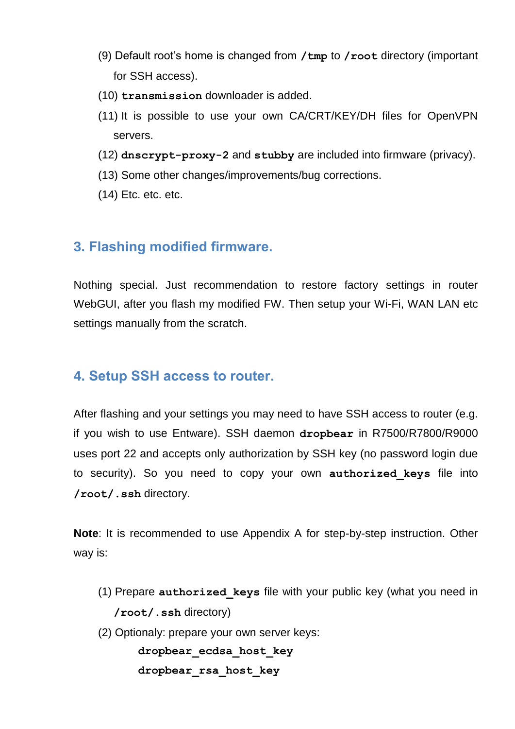- (9) Default root's home is changed from **/tmp** to **/root** directory (important for SSH access).
- (10) **transmission** downloader is added.
- (11) It is possible to use your own CA/CRT/KEY/DH files for OpenVPN servers.
- (12) **dnscrypt-proxy-2** and **stubby** are included into firmware (privacy).
- (13) Some other changes/improvements/bug corrections.
- (14) Etc. etc. etc.

### <span id="page-4-0"></span>**3. Flashing modified firmware.**

Nothing special. Just recommendation to restore factory settings in router WebGUI, after you flash my modified FW. Then setup your Wi-Fi, WAN LAN etc settings manually from the scratch.

## <span id="page-4-1"></span>**4. Setup SSH access to router.**

After flashing and your settings you may need to have SSH access to router (e.g. if you wish to use Entware). SSH daemon **dropbear** in R7500/R7800/R9000 uses port 22 and accepts only authorization by SSH key (no password login due to security). So you need to copy your own **authorized\_keys** file into **/root/.ssh** directory.

**Note**: It is recommended to use Appendix A for step-by-step instruction. Other way is:

- (1) Prepare **authorized\_keys** file with your public key (what you need in **/root/.ssh** directory)
- (2) Optionaly: prepare your own server keys:

**dropbear\_ecdsa\_host\_key**

```
dropbear_rsa_host_key
```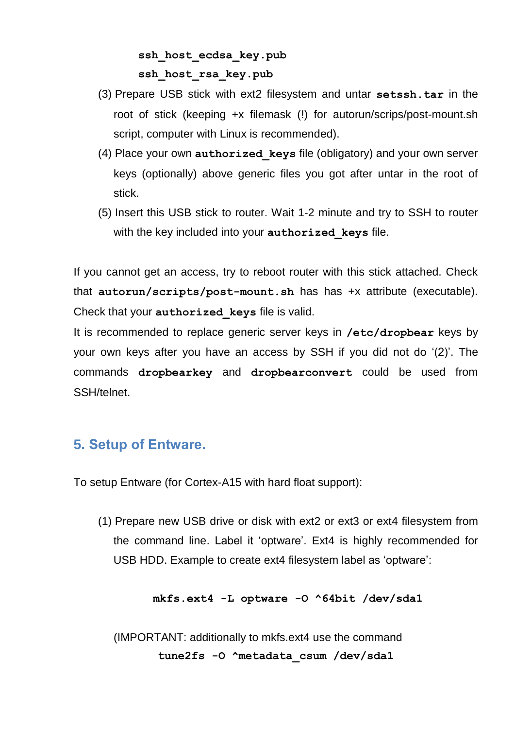## **ssh\_host\_ecdsa\_key.pub ssh\_host\_rsa\_key.pub**

- (3) Prepare USB stick with ext2 filesystem and untar **setssh.tar** in the root of stick (keeping +x filemask (!) for autorun/scrips/post-mount.sh script, computer with Linux is recommended).
- (4) Place your own **authorized\_keys** file (obligatory) and your own server keys (optionally) above generic files you got after untar in the root of stick.
- (5) Insert this USB stick to router. Wait 1-2 minute and try to SSH to router with the key included into your **authorized\_keys** file.

If you cannot get an access, try to reboot router with this stick attached. Check that **autorun/scripts/post-mount.sh** has has +x attribute (executable). Check that your **authorized\_keys** file is valid.

It is recommended to replace generic server keys in **/etc/dropbear** keys by your own keys after you have an access by SSH if you did not do '(2)'. The commands **dropbearkey** and **dropbearconvert** could be used from SSH/telnet.

## <span id="page-5-0"></span>**5. Setup of Entware.**

To setup Entware (for Cortex-A15 with hard float support):

(1) Prepare new USB drive or disk with ext2 or ext3 or ext4 filesystem from the command line. Label it 'optware'. Ext4 is highly recommended for USB HDD. Example to create ext4 filesystem label as 'optware':

### **mkfs.ext4 -L optware -O ^64bit /dev/sda1**

(IMPORTANT: additionally to mkfs.ext4 use the command **tune2fs -O ^metadata\_csum /dev/sda1**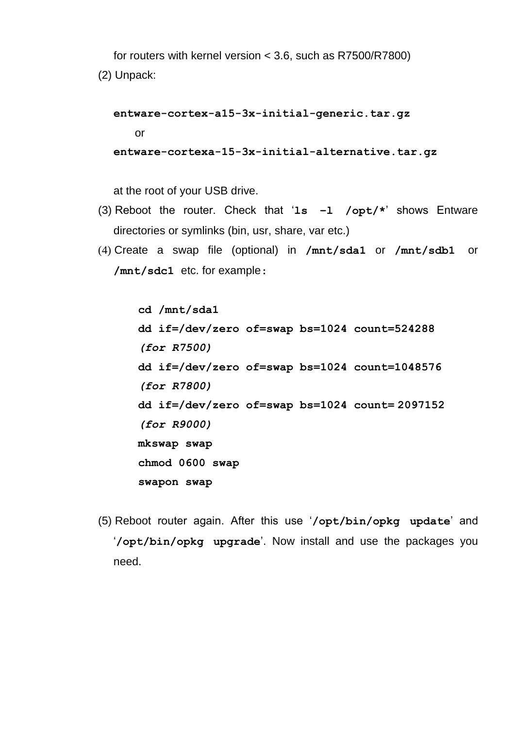for routers with kernel version < 3.6, such as R7500/R7800)

(2) Unpack:

**entware-cortex-a15-3x-initial-generic.tar.gz** or **entware-cortexa-15-3x-initial-alternative.tar.gz**

at the root of your USB drive.

- (3) Reboot the router. Check that '**ls –l /opt/\***' shows Entware directories or symlinks (bin, usr, share, var etc.)
- (4) Create a swap file (optional) in **/mnt/sda1** or **/mnt/sdb1** or **/mnt/sdc1** etc. for example:

**cd /mnt/sda1 dd if=/dev/zero of=swap bs=1024 count=524288** *(for R7500)* **dd if=/dev/zero of=swap bs=1024 count=1048576** *(for R7800)* **dd if=/dev/zero of=swap bs=1024 count= 2097152** *(for R9000)* **mkswap swap chmod 0600 swap swapon swap**

(5) Reboot router again. After this use '**/opt/bin/opkg update**' and '**/opt/bin/opkg upgrade**'. Now install and use the packages you need.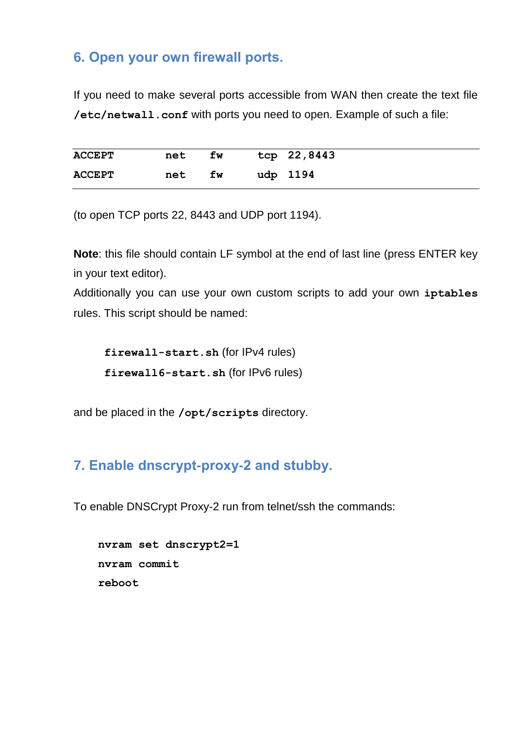## <span id="page-7-0"></span>**6. Open your own firewall ports.**

If you need to make several ports accessible from WAN then create the text file **/etc/netwall.conf** with ports you need to open. Example of such a file:

| <b>ACCEPT</b> | net | fw | tcp 22,8443 |
|---------------|-----|----|-------------|
| <b>ACCEPT</b> | net | fw | udp 1194    |

(to open TCP ports 22, 8443 and UDP port 1194).

**Note**: this file should contain LF symbol at the end of last line (press ENTER key in your text editor).

Additionally you can use your own custom scripts to add your own **iptables** rules. This script should be named:

**firewall-start.sh** (for IPv4 rules) **firewall6-start.sh** (for IPv6 rules)

and be placed in the **/opt/scripts** directory.

## <span id="page-7-1"></span>**7. Enable dnscrypt-proxy-2 and stubby.**

To enable DNSCrypt Proxy-2 run from telnet/ssh the commands:

```
nvram set dnscrypt2=1
nvram commit
reboot
```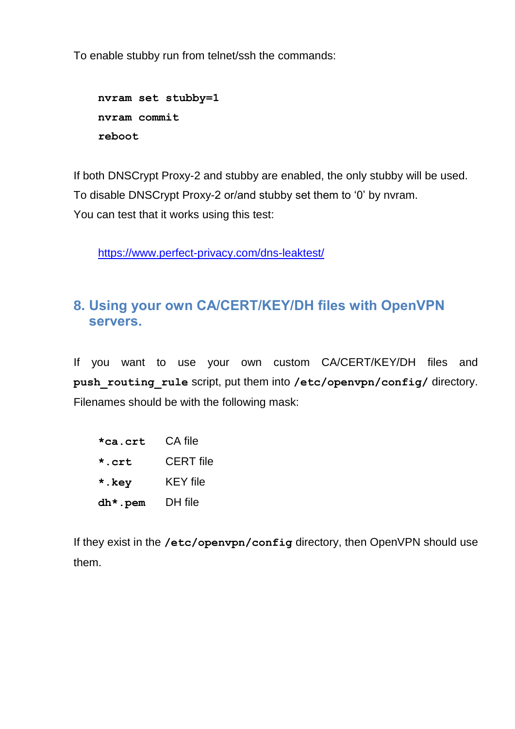To enable stubby run from telnet/ssh the commands:

```
nvram set stubby=1
nvram commit
reboot
```
If both DNSCrypt Proxy-2 and stubby are enabled, the only stubby will be used. To disable DNSCrypt Proxy-2 or/and stubby set them to '0' by nvram. You can test that it works using this test:

<https://www.perfect-privacy.com/dns-leaktest/>

## <span id="page-8-0"></span>**8. Using your own CA/CERT/KEY/DH files with OpenVPN servers.**

If you want to use your own custom CA/CERT/KEY/DH files and **push\_routing\_rule** script, put them into **/etc/openvpn/config/** directory. Filenames should be with the following mask:

```
*ca.crt CA file
*.crt CERT file
*.key KEY file
dh*.pem DH file
```
If they exist in the **/etc/openvpn/config** directory, then OpenVPN should use them.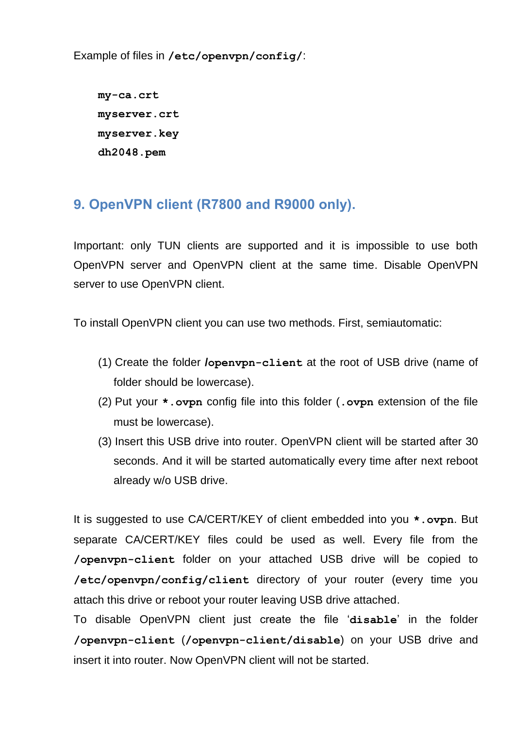Example of files in **/etc/openvpn/config/**:

**my-ca.crt myserver.crt myserver.key dh2048.pem**

# <span id="page-9-0"></span>**9. OpenVPN client (R7800 and R9000 only).**

Important: only TUN clients are supported and it is impossible to use both OpenVPN server and OpenVPN client at the same time. Disable OpenVPN server to use OpenVPN client.

To install OpenVPN client you can use two methods. First, semiautomatic:

- (1) Create the folder **/openvpn-client** at the root of USB drive (name of folder should be lowercase).
- (2) Put your **\*.ovpn** config file into this folder (**.ovpn** extension of the file must be lowercase).
- (3) Insert this USB drive into router. OpenVPN client will be started after 30 seconds. And it will be started automatically every time after next reboot already w/o USB drive.

It is suggested to use CA/CERT/KEY of client embedded into you **\*.ovpn**. But separate CA/CERT/KEY files could be used as well. Every file from the **/openvpn-client** folder on your attached USB drive will be copied to **/etc/openvpn/config/client** directory of your router (every time you attach this drive or reboot your router leaving USB drive attached.

To disable OpenVPN client just create the file '**disable**' in the folder **/openvpn-client** (**/openvpn-client/disable**) on your USB drive and insert it into router. Now OpenVPN client will not be started.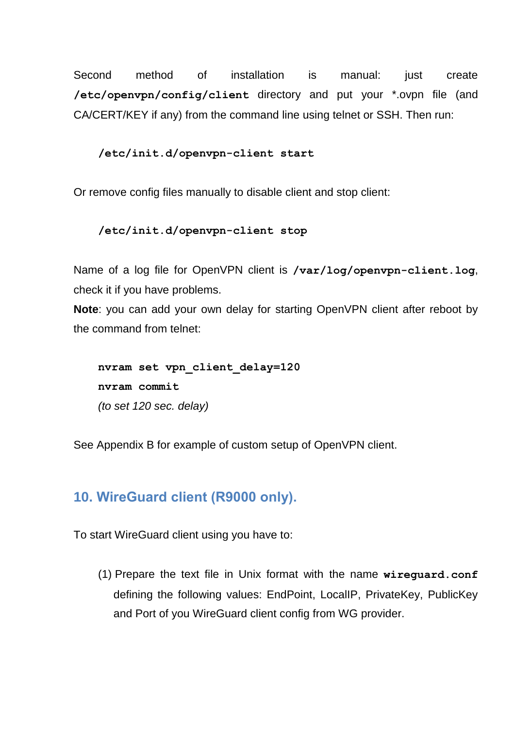Second method of installation is manual: just create **/etc/openvpn/config/client** directory and put your \*.ovpn file (and CA/CERT/KEY if any) from the command line using telnet or SSH. Then run:

### **/etc/init.d/openvpn-client start**

Or remove config files manually to disable client and stop client:

```
/etc/init.d/openvpn-client stop
```
Name of a log file for OpenVPN client is **/var/log/openvpn-client.log**, check it if you have problems.

**Note**: you can add your own delay for starting OpenVPN client after reboot by the command from telnet:

**nvram set vpn\_client\_delay=120 nvram commit** *(to set 120 sec. delay)*

See Appendix B for example of custom setup of OpenVPN client.

### <span id="page-10-0"></span>**10. WireGuard client (R9000 only).**

To start WireGuard client using you have to:

(1) Prepare the text file in Unix format with the name **wireguard.conf** defining the following values: EndPoint, LocalIP, PrivateKey, PublicKey and Port of you WireGuard client config from WG provider.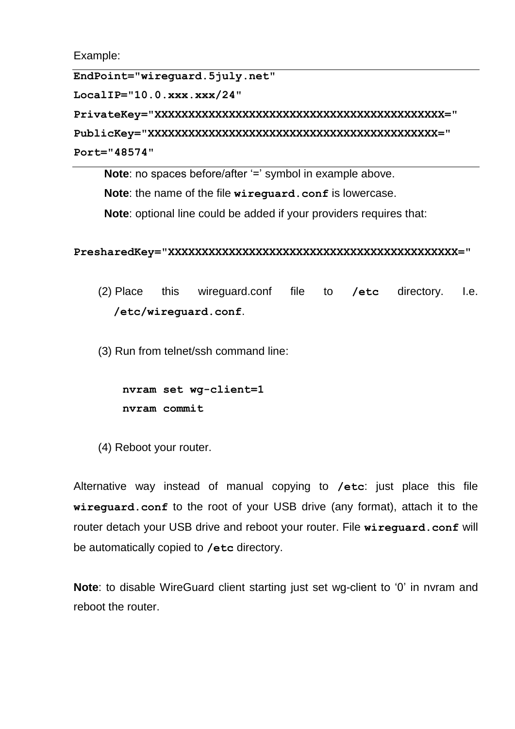Example:

**EndPoint="wireguard.5july.net"**

**LocalIP="10.0.xxx.xxx/24"**

**PrivateKey="XXXXXXXXXXXXXXXXXXXXXXXXXXXXXXXXXXXXXXXXXXX="**

**PublicKey="XXXXXXXXXXXXXXXXXXXXXXXXXXXXXXXXXXXXXXXXXXX=" Port="48574"**

**Note**: no spaces before/after '=' symbol in example above.

**Note**: the name of the file **wireguard.conf** is lowercase.

**Note**: optional line could be added if your providers requires that:

#### **PresharedKey="XXXXXXXXXXXXXXXXXXXXXXXXXXXXXXXXXXXXXXXXXXX="**

(2) Place this wireguard.conf file to **/etc** directory. I.e. **/etc/wireguard.conf**.

(3) Run from telnet/ssh command line:

**nvram set wg-client=1 nvram commit**

(4) Reboot your router.

Alternative way instead of manual copying to **/etc**: just place this file **wireguard.conf** to the root of your USB drive (any format), attach it to the router detach your USB drive and reboot your router. File **wireguard.conf** will be automatically copied to **/etc** directory.

**Note**: to disable WireGuard client starting just set wg-client to '0' in nvram and reboot the router.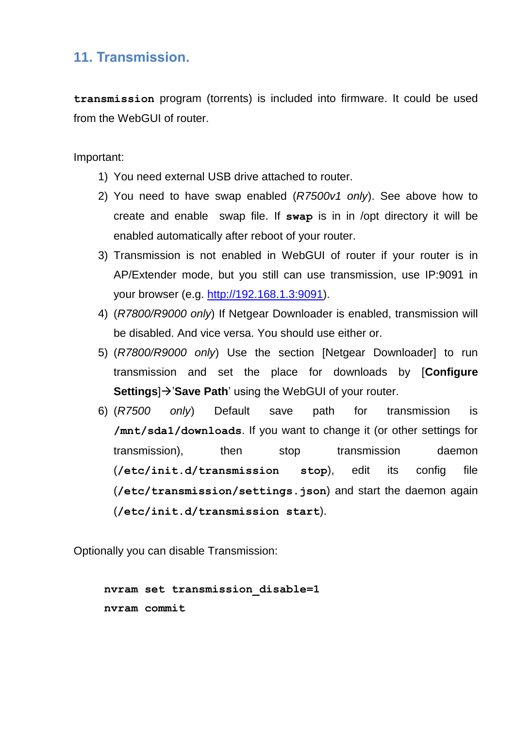## <span id="page-12-0"></span>**11. Transmission.**

**transmission** program (torrents) is included into firmware. It could be used from the WebGUI of router.

Important:

- 1) You need external USB drive attached to router.
- 2) You need to have swap enabled (*R7500v1 only*). See above how to create and enable swap file. If **swap** is in in /opt directory it will be enabled automatically after reboot of your router.
- 3) Transmission is not enabled in WebGUI of router if your router is in AP/Extender mode, but you still can use transmission, use IP:9091 in your browser (e.g. [http://192.168.1.3:9091\)](http://192.168.1.3:9091/).
- 4) (*R7800/R9000 only*) If Netgear Downloader is enabled, transmission will be disabled. And vice versa. You should use either or.
- 5) (*R7800/R9000 only*) Use the section [Netgear Downloader] to run transmission and set the place for downloads by [**Configure Settings**) → 'Save Path' using the WebGUI of your router.
- 6) (*R7500 only*) Default save path for transmission is **/mnt/sda1/downloads**. If you want to change it (or other settings for transmission), then stop transmission daemon (**/etc/init.d/transmission stop**), edit its config file (**/etc/transmission/settings.json**) and start the daemon again (**/etc/init.d/transmission start**).

Optionally you can disable Transmission:

**nvram set transmission\_disable=1 nvram commit**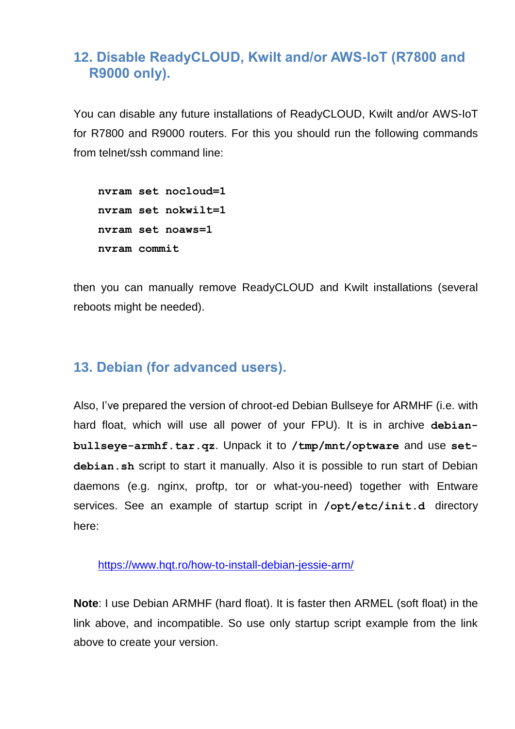# <span id="page-13-0"></span>**12. Disable ReadyCLOUD, Kwilt and/or AWS-IoT (R7800 and R9000 only).**

You can disable any future installations of ReadyCLOUD, Kwilt and/or AWS-IoT for R7800 and R9000 routers. For this you should run the following commands from telnet/ssh command line:

```
nvram set nocloud=1
nvram set nokwilt=1
nvram set noaws=1
nvram commit
```
then you can manually remove ReadyCLOUD and Kwilt installations (several reboots might be needed).

## <span id="page-13-1"></span>**13. Debian (for advanced users).**

Also, I've prepared the version of chroot-ed Debian Bullseye for ARMHF (i.e. with hard float, which will use all power of your FPU). It is in archive **debian**bullseye-armhf.tar.qz. Unpack it to /tmp/mnt/optware and use set**debian.sh** script to start it manually. Also it is possible to run start of Debian daemons (e.g. nginx, proftp, tor or what-you-need) together with Entware services. See an example of startup script in **/opt/etc/init.d** directory here:

<https://www.hqt.ro/how-to-install-debian-jessie-arm/>

**Note**: I use Debian ARMHF (hard float). It is faster then ARMEL (soft float) in the link above, and incompatible. So use only startup script example from the link above to create your version.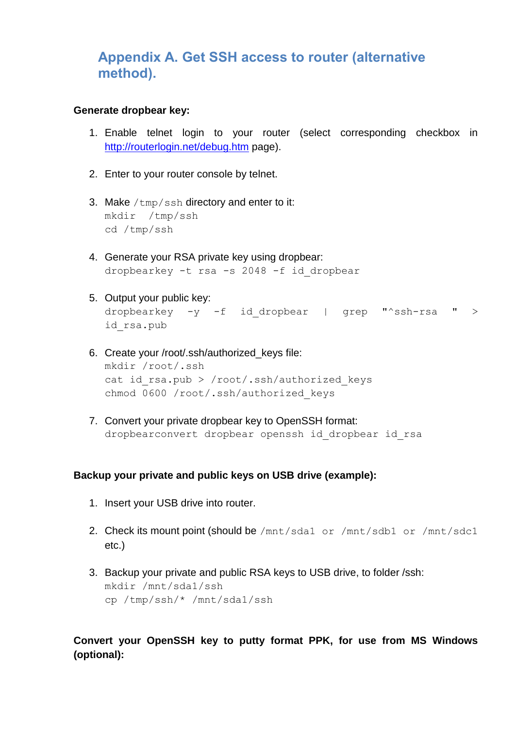## <span id="page-14-0"></span>**Appendix A. Get SSH access to router (alternative method).**

#### **Generate dropbear key:**

- 1. Enable telnet login to your router (select corresponding checkbox in <http://routerlogin.net/debug.htm> page).
- 2. Enter to your router console by telnet.
- 3. Make  $/\text{tmp/ssh}$  directory and enter to it: mkdir /tmp/ssh cd /tmp/ssh
- 4. Generate your RSA private key using dropbear: dropbearkey -t rsa -s 2048 -f id\_dropbear
- 5. Output your public key: dropbearkey  $-y$  -f id dropbear | grep "^ssh-rsa " > id\_rsa.pub
- 6. Create your /root/.ssh/authorized\_keys file: mkdir /root/.ssh cat id rsa.pub > /root/.ssh/authorized keys chmod 0600 /root/.ssh/authorized\_keys
- 7. Convert your private dropbear key to OpenSSH format: dropbearconvert dropbear openssh id\_dropbear id\_rsa

#### **Backup your private and public keys on USB drive (example):**

- 1. Insert your USB drive into router.
- 2. Check its mount point (should be /mnt/sda1 or /mnt/sdb1 or /mnt/sdc1 etc.)
- 3. Backup your private and public RSA keys to USB drive, to folder /ssh: mkdir /mnt/sda1/ssh cp /tmp/ssh/\* /mnt/sda1/ssh

### **Convert your OpenSSH key to putty format PPK, for use from MS Windows (optional):**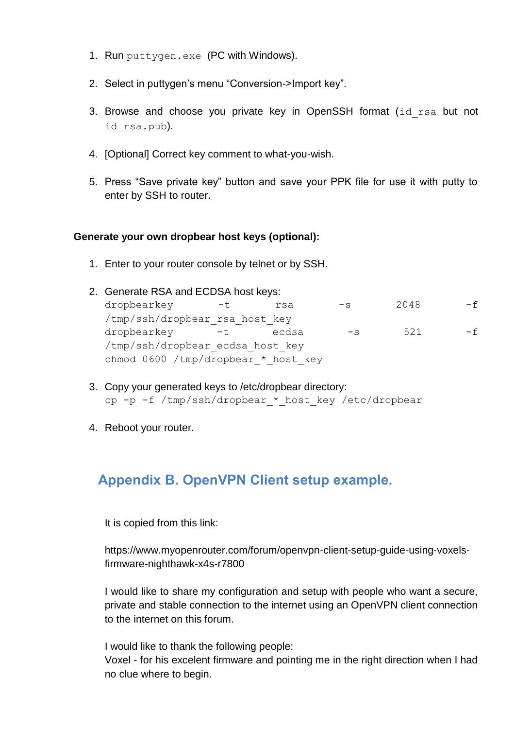- 1. Run puttygen.exe (PC with Windows).
- 2. Select in puttygen's menu "Conversion->Import key".
- 3. Browse and choose you private key in OpenSSH format (id rsa but not id rsa.pub).
- 4. [Optional] Correct key comment to what-you-wish.
- 5. Press "Save private key" button and save your PPK file for use it with putty to enter by SSH to router.

#### **Generate your own dropbear host keys (optional):**

1. Enter to your router console by telnet or by SSH.

|                                     | 2. Generate RSA and ECDSA host keys: |       |       |      |      |     |  |
|-------------------------------------|--------------------------------------|-------|-------|------|------|-----|--|
|                                     | dropbearkey                          | ーセ    | rsa   | $-S$ | 2048 | – f |  |
|                                     | /tmp/ssh/dropbear rsa host key       |       |       |      |      |     |  |
|                                     | dropbearkey                          | $-$ t | ecdsa | $-S$ | 521  | – f |  |
|                                     | /tmp/ssh/dropbear ecdsa host key     |       |       |      |      |     |  |
| chmod 0600 /tmp/dropbear * host key |                                      |       |       |      |      |     |  |

- 3. Copy your generated keys to /etc/dropbear directory: cp -p -f /tmp/ssh/dropbear \* host key /etc/dropbear
- 4. Reboot your router.

# <span id="page-15-0"></span>**Appendix B. OpenVPN Client setup example.**

It is copied from this link:

https://www.myopenrouter.com/forum/openvpn-client-setup-guide-using-voxelsfirmware-nighthawk-x4s-r7800

I would like to share my configuration and setup with people who want a secure, private and stable connection to the internet using an OpenVPN client connection to the internet on this forum.

I would like to thank the following people:

Voxel - for his excelent firmware and pointing me in the right direction when I had no clue where to begin.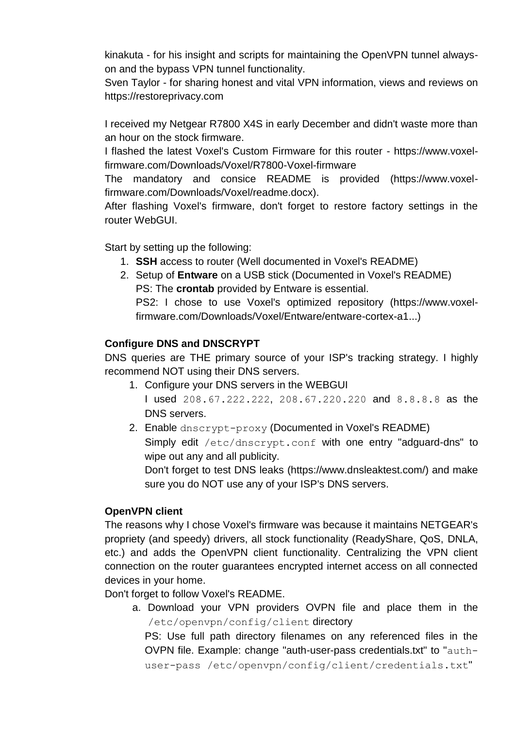kinakuta - for his insight and scripts for maintaining the OpenVPN tunnel alwayson and the bypass VPN tunnel functionality.

Sven Taylor - for sharing honest and vital VPN information, views and reviews on https://restoreprivacy.com

I received my Netgear R7800 X4S in early December and didn't waste more than an hour on the stock firmware.

I flashed the latest Voxel's Custom Firmware for this router - https://www.voxelfirmware.com/Downloads/Voxel/R7800-Voxel-firmware

The mandatory and consice README is provided (https://www.voxelfirmware.com/Downloads/Voxel/readme.docx).

After flashing Voxel's firmware, don't forget to restore factory settings in the router WebGUI.

Start by setting up the following:

- 1. **SSH** access to router (Well documented in Voxel's README)
- 2. Setup of **Entware** on a USB stick (Documented in Voxel's README) PS: The **crontab** provided by Entware is essential.

PS2: I chose to use Voxel's optimized repository (https://www.voxelfirmware.com/Downloads/Voxel/Entware/entware-cortex-a1...)

### **Configure DNS and DNSCRYPT**

DNS queries are THE primary source of your ISP's tracking strategy. I highly recommend NOT using their DNS servers.

- 1. Configure your DNS servers in the WEBGUI I used 208.67.222.222, 208.67.220.220 and 8.8.8.8 as the DNS servers.
- 2. Enable dnscrypt-proxy (Documented in Voxel's README) Simply edit /etc/dnscrypt.conf with one entry "adguard-dns" to wipe out any and all publicity.

Don't forget to test DNS leaks (https://www.dnsleaktest.com/) and make sure you do NOT use any of your ISP's DNS servers.

### **OpenVPN client**

The reasons why I chose Voxel's firmware was because it maintains NETGEAR's propriety (and speedy) drivers, all stock functionality (ReadyShare, QoS, DNLA, etc.) and adds the OpenVPN client functionality. Centralizing the VPN client connection on the router guarantees encrypted internet access on all connected devices in your home.

Don't forget to follow Voxel's README.

a. Download your VPN providers OVPN file and place them in the /etc/openvpn/config/client directory

PS: Use full path directory filenames on any referenced files in the OVPN file. Example: change "auth-user-pass credentials.txt" to "authuser-pass /etc/openvpn/config/client/credentials.txt"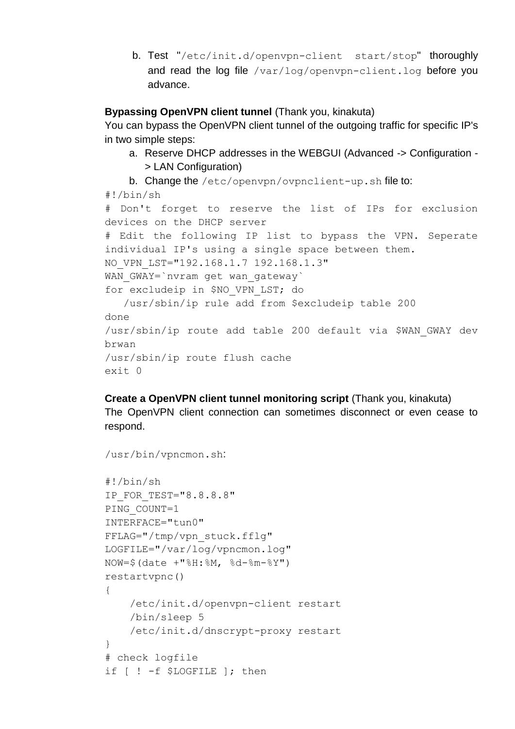b. Test "/etc/init.d/openvpn-client start/stop" thoroughly and read the log file /var/log/openvpn-client.log before you advance.

### **Bypassing OpenVPN client tunnel** (Thank you, kinakuta)

You can bypass the OpenVPN client tunnel of the outgoing traffic for specific IP's in two simple steps:

- a. Reserve DHCP addresses in the WEBGUI (Advanced -> Configuration > LAN Configuration)
- b. Change the /etc/openvpn/ovpnclient-up.sh file to:

```
#!/bin/sh
# Don't forget to reserve the list of IPs for exclusion 
devices on the DHCP server
# Edit the following IP list to bypass the VPN. Seperate 
individual IP's using a single space between them.
NO_VPN_LST="192.168.1.7 192.168.1.3"
WAN GWAY=`nvram get wan gateway`
for excludeip in $NO_VPN_LST; do
    /usr/sbin/ip rule add from $excludeip table 200
done
/usr/sbin/ip route add table 200 default via $WAN_GWAY dev 
brwan
/usr/sbin/ip route flush cache
exit 0
```
**Create a OpenVPN client tunnel monitoring script** (Thank you, kinakuta) The OpenVPN client connection can sometimes disconnect or even cease to respond.

/usr/bin/vpncmon.sh:

```
#!/bin/sh
IP_FOR_TEST="8.8.8.8"
PING COUNT=1
INTERFACE="tun0"
FFLAG="/tmp/vpn_stuck.fflg"
LOGFILE="/var/log/vpncmon.log"
NOW=$(date +"%H:%M, %d-%m-%Y")
restartvpnc()
{
     /etc/init.d/openvpn-client restart
     /bin/sleep 5
     /etc/init.d/dnscrypt-proxy restart
}
# check logfile
if [ ! -f $LOGFILE ]; then
```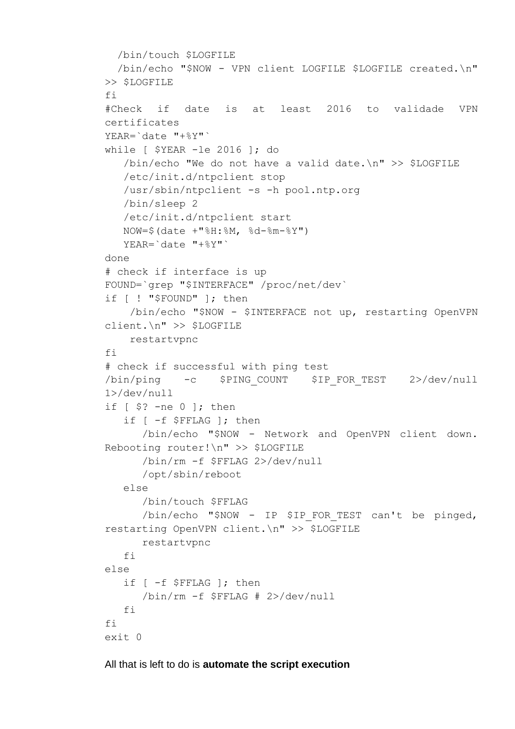```
 /bin/touch $LOGFILE
   /bin/echo "$NOW - VPN client LOGFILE $LOGFILE created.\n" 
>> $LOGFILE
fi
#Check if date is at least 2016 to validade VPN 
certificates
YEAR=`date "+%Y"`
while [ $YEAR -le 2016 ]; do
    /bin/echo "We do not have a valid date.\n" >> $LOGFILE
    /etc/init.d/ntpclient stop
   /usr/sbin/ntpclient -s -h pool.ntp.org
    /bin/sleep 2
   /etc/init.d/ntpclient start
   NOW=$(date +"%H:%M, %d-%m-%Y")
   YEAR=`date "+%Y"`
done
# check if interface is up
FOUND=`grep "$INTERFACE" /proc/net/dev`
if [ ! "$FOUND" ]; then
     /bin/echo "$NOW - $INTERFACE not up, restarting OpenVPN 
client.\n" >> $LOGFILE
    restartvpnc
fi
# check if successful with ping test
/bin/ping -c $PING_COUNT $IP_FOR_TEST 2>/dev/null
1>/dev/null
if [ $? -ne 0 ]; then
    if [ -f $FFLAG ]; then
       /bin/echo "$NOW - Network and OpenVPN client down. 
Rebooting router!\n" >> $LOGFILE
       /bin/rm -f $FFLAG 2>/dev/null
       /opt/sbin/reboot
   else
       /bin/touch $FFLAG
      /bin/echo "$NOW - IP $IP FOR TEST can't be pinged,
restarting OpenVPN client.\n" >> $LOGFILE
       restartvpnc
   f_ielse
    if [ -f $FFLAG ]; then
       /bin/rm -f $FFLAG # 2>/dev/null
   fi
f_iexit 0
```
All that is left to do is **automate the script execution**